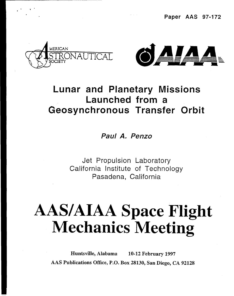. **Paper AAS 97-172**



—

.,. .



### Lunar and Planetary Missions Launched from a Geosynchronous Transfer Orbit

**Paul A. Penzo**

Jet Propulsion Laboratory California Institute of Technology Pasadena, California

## **AASIAIAA Space Flight Mechanics Meeting**

**Huntsville, Alabama AAS Publications Office, P.O Box 28130, San Diego, CA 9212810-12 February 1997**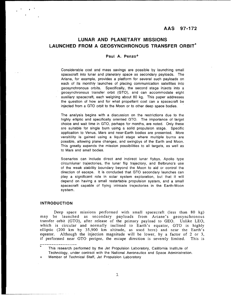#### **AAS 97-172**

#### **LUNAR AND PLANETARY MISSIONS LAUNCHED FROM A GEOSYNCHRONOUS TRANSFER ORBIT\***

#### **Paul A. Penzo+**

Considerable cost and mass savings are possible by launching small spacecraft into lunar and planetary space as secondary payloads. The Ariane, for example, provides a platform for several such payloads on each of its monthly launches of placing communication satellites into geosynchronous orbits. Specifically, the second stage injects into a geosynchronous transfer orbit (GTO), and can accommodate eight auxiliary spacecraft, each weighing about 80 kg. This paper addresses the question of how and for what propellant cost can a spacecraft be injected from a GTO orbit to the Moon or to other deep space bodies.

The analysis begins with a discussion on the restrictions due to the highly elliptic and specifically oriented GTO. The importance of target choice and wait time in GTO, perhaps for months, are noted, Only these are suitable for single burn using a solid propulsion stage. Specific application to Venus, Mars and near-Earth bodies are presented. More versitility is gained using a liquid stage where multiple burns are possible, allowing plane changes, and swingbys of the Earth and Moon. This greatly expands the mission possibilities to all targets, as well as to Mars and small bodies.

Scenarios can include direct and indirect lunar flybys, Apollo type circumlunar trajectories, the lunar flip trajectory, and Belbruno's use of the weak stability boundary beyond the Moon to aid or control the direction of escape. It is concluded that GTO secondary launches can play a significant role in solar system exploration, but that it will depend on having a small restartable propulsion system, and a small spacecraft capable of flying intricate trajectories in the Earth-Moon system.

#### **INTRODUCTION**

Deep space missions performed with small spacecraft (less than 80 kg) may be launched as secondary payloads from Ariane's geosynchronous transfer orbit (GTO), after release of the primary payload to GEO. Unlike LEO, which is circular and normally inclined to Earth's equator, GTO is highly elliptic (200 km by 35,900 km altitude, as used here) and near the Earth's equator. Although the injection magnitude will be lower, by a factor of 2 or 3, if performed near GTO perigee, the escape direction is severely limited. This is

\_\_\_\_\_\_\_\_\_\_\_\_\_\_\_\_<br>\* This research performed by the Jet Propulsion Laboratory, California Institute of Technology, under contract with the National Aeronautics and Space Administration.

Member of Technical Staff, Jet Propulsion Laboratory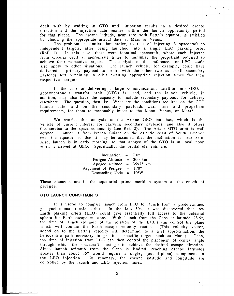dealt with by waiting in GTO until injection results in a desired escape direction and the injection date resides within the launch opportunity period for that planet. The escape latitude, near zero with Earth's equator, is satisfied by choosing the appropriate arrival date at Mars or Venus.

9"

.

The problem is similar, but easier, to that of injecting 3 spacecraft to independent targets, after being launched into a single LEO parking orbit (Ref. 1). In this case, these were identical spacecraft, where each injected from circular orbit at appropriate times to minimize the propellant required to achieve their respective targets, The analysis of this reference, for LEO, could also apply to other situations. The launch vehicle, for example, could have delivered a primary payload to orbit, with the other two as small secondary payloads left remaining in orbit awaiting appropriate injection times for their respective targets.

In the case of delivering a large communications satellite into GEO, a geosynchronous transfer orbit (GTO) is used, and the launch vehicle, in addition, may also have the capacity to include secondary payloads for delivery elsewhere. The question, then, is: What are the conditions required on the GTO launch date, and on the secondary payloads wait time and propellant requirements, for them to reasonably inject to the Moon, Venus, or Mars?

We restrict this analysis to the Ariane GEO launches, which is the vehicle of current interest for carrying secondary payloads, and also it offers this service to the space community (see Ref. 2). The Ariane GTO orbit is well defined. Launch is from French Guiana on the Atlantic coast of South America near the equator, so that it may be assumed that the inclination is near zero. Also, launch is in early morning, so that apogee of the GTO is at local noon when it arrived at GEO. Specifically, the orbital elements are:

| Inclination $=$     |          | $7.0^\circ$    |
|---------------------|----------|----------------|
| Perigee Altitude    | $\equiv$ | -200 km        |
| Apogee Altitude     |          | $= 35975$ km   |
| Argument of Perigee | $=$      | $178^\circ$    |
| Descending Node     | $=$      | $10^{\circ}$ W |

These elements are in the equatorial prime meridian system at the epoch of perigee.

#### **GTO LAUNCH CONSTRAINTS**

It is useful to compare launch from LEO to launch from a predetermined geosynchronous transfer orbit. In the late 50s, it was discovered that low Earth parking orbits (LEO) could give essentially full access to the celestial sphere for Earth escape missions. With launch from the Cape at latitude 28.5°, the time of launch (because of the rotation of the Earth) can control the plane which will contain the Earth escape velocity vector. (This velocity vector, added on to the Earth's velocity will determine, to a first approximation, the heliocentric path necessary to get to a specific target, such as Mars.). Then, the time of injection from LEO can then control the placement of central angle through which the spacecraft must go to achieve the desired escape direction. Since launch azimuth from the Cape is limited, reaching escape latitud greater than about 35° would require a dogleg (out-of-plane) component in the LEO injection. In summary, the escape latitude and longitude are controlled by the launch and LEO injection times.

2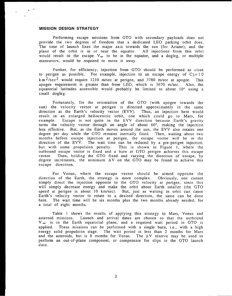#### **MISSION DESIGN STRATEGY**

.'

.

.

Performing escape missions from GTO with secondary payloads does not provide the two degrees of freedom that a dedicated LEO parking orbit does, The time of launch fixes the major axis towards the sun (for Ariane), and the plane of the orbit is in or near the equator. All injections from this orbit would result in the escape  $V_{\infty}$  to be in the equator, and a dogleg, or multiple maneuvers, would be required to move it away.

Further, for efficiency, injection from GTO should be performed as close to perigee as possible. For example, injection to an escape energy of  $C_3 = 10$  $km^2/sec^2$  would require 1210 m/sec at perigee, and 3780 m/sec at apogee. This apogee requirement is greater than from LEO, which is 3670 m/see. Also, the equatorial latitudes accessible would probably be limited to about 10° using a small dogleg.

Fortunately, for the orientation of the GTO (with apogee towards the sun) the velocity vector at perigee is directed approximately in the same direction as the Earth's velocity vector (EVV). Thus, an injection here would result in an enlarged heliocentric orbit, one which could go to Mars, for example. Escape is not quite in the EVV direction because Earth's gravity turns the velocity vector through an angle of about 60°, making the injection less effective. But, as the Earth moves around the sun, the EVV also rotates one degree per day while the GTO remains inertially fixed. Then, waiting about two months before escape injection at perigee, the escape vector will be in the direction of the EVV. The wait time can be reduced by a pre-perigee injection, but with some propulsion penalty. This is shown in Figure 1, where the This is shown in Figure 1, where the outbound escape vector is fixed and a burn at GTO perigee achieves this escape vector. Then, holding the GTO fixed and varying the direction of escape, by degree increments, the minimum  $\Delta V$  on the GTO may be found to achieve this escape direction.

For Venus, where the escape vector should be aimed opposite the direction of the Earth, the strategy is more complex. Obviously, one cannot simply direct the injection opposite to the GTO velocity at perigee, since this will simply decrease energy and make the orbit about Earth smaller (the GTO speed at perigee is about 10 km/sec). But, just as waiting in orbit can cause Earth's velocity vector to rotate to a desired direction, the same can be done here. The wait time will be six months plus the two months already needed, for a total of eight months.

Table 1 shows the results of applying this strategy to Mars, Venus and asteroid missions. Launch and arrival dates are chosen so that the outbound  $V_{\infty}$  is in the Earth equatorial plane, and a required wait period in GTO is applied. These missions can be performed with a single burn, i.e., with a high energy solid propulsion stage. The wait period is less than 2 months for Mars and the asteroids, but is 8 months for Venus. The  $\Delta V$  reserve may be used to perform an out-of-plane component, or compensate for slips in the GTO launch date.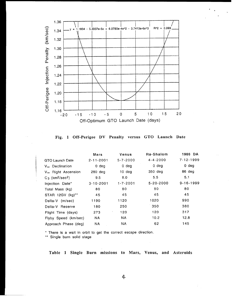

. .

**Fig. 1 Off-Perigee DV Penalty versus GTO Launch Date**

|                                            | Mars             | Venus          | Ra-Shalom       | 1986 DA         |
|--------------------------------------------|------------------|----------------|-----------------|-----------------|
| <b>GTO Launch Date</b>                     | $2 - 11 - 2001$  | $5 - 7 - 2000$ | $4 - 4 - 2000$  | $7 - 12 - 1999$ |
| V <sub>∞</sub> Declination                 | 0 <sub>deg</sub> | $0$ deg        | $0$ deg         | $0$ deg         |
| V <sub>∞</sub> Right Ascension             | $280$ deg        | $10$ deg       | 350 deg         | 86 deg          |
| $C_3$ (km <sup>2</sup> /sec <sup>2</sup> ) | 9.5              | 8.0            | 5.5             | 5.1             |
| Injection Date*                            | $3 - 10 - 2001$  | $1 - 7 - 2001$ | $5 - 20 - 2000$ | $9 - 16 - 1999$ |
| Total Mass (kg)                            | 80               | 80             | 80              | 80              |
| STAR 12GV (kg)**                           | 45               | 45             | 45              | 45              |
| Delta-V (m/sec)                            | 1190             | 1120           | 1020            | 990             |
| Delta-V Reserve                            | 180              | 250            | 350             | 380             |
| Flight Time (days)                         | 273              | 120            | 120             | 317             |
| Flyby Speed (km/sec)                       | <b>NA</b>        | NA.            | 10.2            | 12.8            |
| Approach Phase (deg)                       | <b>NA</b>        | NA.            | 62              | 145             |

\* There is a wait in orbit to get the correct escape direction.

\*\* Single burn solid stage

**Table 1 Single Burn missions to Mars, Venus, and Asteroids**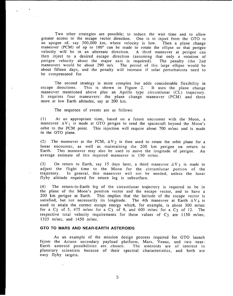Two other strategies are possible; to reduce the wait time and to allow greater access to the escape vector direction. One is to inject from the GTO to an apogee of, say 500,000 km, where velocity is low. Then a plane change maneuver (PCM) of up to 180° can be made to rotate the ellipse so that perigee velocity will be in an alternate direction. A third maneuver at perigee can then inject to a desired escape direction (assuming that only a rotation of perigee velocity about the major axis is required). The penalty (the 2nd perigee velocity about the major axis is required). The penalty (the 2nd maneuver) would be about 290 m/s. The period of this large ellipse would be about fifteen days, and the penalty will increase if solar perturbations need to be compensated for.

The second strategy is more complex but adds considerable flexibility in escape directions. This is shown in Figure 2. It uses the plane change This is shown in Figure 2. maneuver mentioned above plus an Apollo type circumlunar (CL) trajector It requires four maneuvers: the plane change maneuver (PCM) and thre more at low Earth altitudes, say at 200 km. It uses the plane change

The sequence of events are as follows:

(1) At an appropriate time, based on a future encounter with the Moon, a maneuver  $\Delta V_1$  is made at GTO perigee to send the spacecraft beyond the Moon' orbit to the PCM point. This injection will require about 700 m/see and is made in the GTO plane.

(2) The maneuver at the PCM,  $\Delta V_2$  is then used to rotate the orbit plane for a lunar encounter, as well as maintaining the 200 km perigee on return to Earth. This maneuver may also be used to move the longitude of perigee. An average estimate of this required maneuver is 150 m/see.

(3) On return to Earth, say 15 days later, a third maneuver  $\Delta V_3$  is made to adjust the flight time to the Moon for the circumlunar portion of the trajectory. In general, this maneuver will not be needed, unless the lunar flyby altitude required for return leg is subsurface.

(4) The return-to-Earth leg of the circumlunar trajectory is required to be in the plane of the Moon's position vector and the escape vector, and to have a 200 km perigee at Earth. This implies that the latitude of the escape vector is satisfied, but not necessarily its longitude. The 4th maneuver at Earth  $\Delta V_4$  is used to attain the correct escape energy which, for example, is about 300 m/see for a  $C_3$  of 5, 475 m/sec for a  $C_3$  of 9, and 600 m/sec for a  $C_3$  of 12. The respective total velocity requirements for these values of  $C_3$  are 1150 m/sec, 1325 m/see, and 1450 m/see.

#### GTO **TO MARS** AND NEAR-EARTH ASTEROIDS

As an example of the mission design process required for GTO launch frjom the Ariane secondary payload platform, Mars, Venus, and two near-Earth asteroid possibilities planetary scientists because of their spectral characteristics, and both areeasy flyby targets. The asteroids are of interest to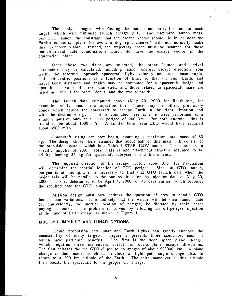The analysis begins with finding the launch and arrival dates for each target, which will minimize launch energy  $(C_3)$  and maximize launch mass. For GTO launch, the constraint that the escape vector should lie in or near the Earth's equatorial plane (to avoid a dog-leg maneuver) will not normally make this trajectory viable. Instead, the trajectory space must be scanned for thos launch-arrival date combinations which do have the escape vector in the equatorial plane.

Once these two dates are selected, the other launch and arriv parameters may be calculated, including launch energy, escape direction from Earth, the asteroid approach spacecraft flyby velocity and sun phase angle and heliocentric positions as a function of time, so that the sun, Earth, and target body distances and angles may be computed for a spacecraft design and operations. Some of these parameters, and those related to spacecraft mass are listed in Table 1 for Mars, Venus, and the two asteroids.

The 'launch date' computed above (May 20, 2000 for Ra-shalom, for example) really means the injection burn (there may be others previously done) which causes the spacecraft to escape Earth in the right direction and with the desired energy. This is computed here as if it were performed as a single impulsive burn at a GTO perigee of 200 km. For both asteroids, this is found to be about 1000 m/s. A similar burn from LEO would have required about 3500 m/s>

Spacecraft sizing can now begin, assuming a maximum total mass of 80 kg. The design chosen here assumes that about half of this mass will consist of the propulsion system, which is a Thiokol STAR 12GV motor. This motor has a specific impulse of 283. Total mass is and attachment structure assumed to be 45 kg, leaving 35 kg for spacecraft subsystems and instruments.

The required direction of the escape vector, about 350° for Ra-Shalom will determine the inertial location of GTO perigee. Since at GTO launch, perigee is at midnight, it is necessary to find that GTO launch date when the major axis will be parallel to the one required for the injection date of May 20, 2000. This is determined to be April 4, 2000, or 46 days earlier, which becomes the required date for GTO launch.

Mission design must now address the question of how to handle GTO launch date variations. It is unlikely that the Ariane will let their launch date (or equivalently, the inertial location of perigee) be dictated by their lesser paying customer. The problem is solved by allowing an off-perigee injection at the time of Earth escape as shown in Figure 1.

#### **MULTIPLE IMPULSE AND LUNAR OPTIONS**

Liquid propulsion and lunar and Earth flybys can greatly enhance the accessibility of many targets. Figure 2 presents three scenarios, each of which have particular benefits. The first is the deep space plane change, which requires three maneuvers useful for out-of-plane escape directions. The first enlarges the the GTO ellipse to an apogee of about 500000. km. A plane change is then made, which can include a flight path angle change also, to return to a 200 km altitude of the Earth. The third maneuver at this altitude then boosts the spacecraft to the proper C3 energy.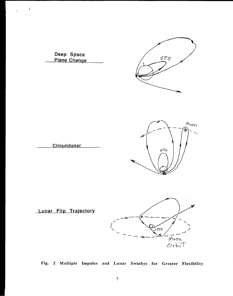



 $\varphi^{(0)}$ 

 $\mathcal{L}^{(1)}$ 







**Lunar Flip Traiectorv**

 $\mathcal{A}^{\mathcal{A}}$ 

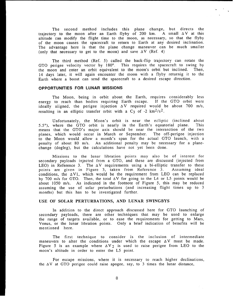The second method includes this plane change, but directs the trajectory to the moon after an Earth flyby of 200 km. A small  $\Delta V$  at this altitude can modify the flight time to the moon, as necessary, so that the flyby of the moon causes the spacecraft to return to Earth at any desired inclination. The advantage here is that the plane change maneuver can be much smaller (only that necessary to get to the moon) and save  $\Delta V$  (Ref. 4)

The third method (Ref. 5) called the back-flip trajectory can rotate the GTO perigee velocity vector by 180°. This requires the spacecraft to swing by the moon and enter an orbit equivalent to the moon's orbit but inclined. Then, 14 days later, it will again encounter the moon with a flyby returnig it to the Earth where a boost can send the spacecraft to a desired escape direction.

#### **OPPORTUNITIES FOR LUNAR MISSIONS**

The Moon, being in orbit about the Earth, requires considerably less energy to reach than bodies requiring Earth escape. If the GTO orbit were ideally aligned, the perigee injection  $\Delta V$  required would be about 700 m/s, resulting in an elliptic transfer orbit with a C<sub>3</sub> of -2 km<sup>2</sup>/s<sup>2</sup>.

Unfortunately, the Moon's orbit is near the ecliptic (inclined about  $5.5^{\circ}$ ), where the GTO orbit is nearly in the Earth's equatorial plane. means that the GTO'S major axis should be near the intersection of the two planes, which would occur in March or September. The off-perigee injection to the Moon would. allow a month's span for the actual GTO launch, with a penalty of about 80 m/s. An additional penalty may be necessary for a planechange (dogleg), but the calculations have not yet been done.

Missions to the lunar libration points may also be of interest for secondary payloads injected from a GTO, and these are discussed (injected from LEO) in Reference 3. The  $\Delta V$  requirements using a bi-elliptic transfer to these points are given in Figure 3, taken from Reference 3. Assuming idea conditions, the  $\Delta V1$ , which would be the requirement from LEO can be replaced by 700 m/s for GTO. Then, the total  $\Delta V$  for going to the L4 or L5 points would be about 1050 m/s. As indicated in the footnote of Figure 5, this may be reduced assuming the use of solar perturbations (and increasing flight times up to 3 months) but this has to be investigated further.

#### **USE OF SOLAR PERTURBATIONS, AND LUNAR SWINGBYS**

In addition to the direct approach discussed here for GTO launching of secondary payloads, there are other techniques that may be used to enlarge the range of targets available, or to ease the requirements for getting to Mars, Venus, or the lunar libration points. Only a brief indication of benefits will be mentioned here.

The first technique to consider is the inclusion of intermediate maneuvers to alter the conditions under which the escape  $\Delta V$  must be made. Figure 5 is an example where  $\Delta V_2$  is used to raise perigee from LEO to the moon's altitude in order to enter the L5 point.

For escape missions, where it is necessary to reach higher declinations, the  $\Delta V$  at GTO perigee could raise apogee, say, to 3 times the lunar distance,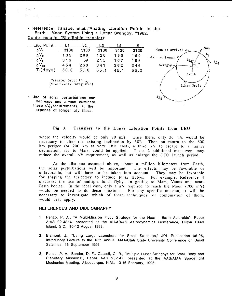● Reference: Tanabe, et.al.,''Vislting Libratlon Points in the Earth - Moon System Using a Lunar Swingby, "1982. Conic results (Bi-ellipitic transfer):

 $\omega_{\rm{max}}$ 

| Lib. Point      |                                    | L2   | L3   | L4   | L5   |                               |
|-----------------|------------------------------------|------|------|------|------|-------------------------------|
| $\Delta V_1$    | 3130                               | 3130 | 3130 | 3130 | 3130 | Sun<br>Moon at arrival $\sim$ |
| $\Delta V_2$    | 135                                | 209  | 126  | 195  | 150  | ج ما<br>Moon at launch-54     |
| $\Delta V_3$    | 319                                | 59   | 215  | 167  | 196  | Δν.<br>$\frac{\Delta v}{2}$   |
| $\Delta V_{23}$ | 454                                | 268  | 341  | 362  | 346  | ψ<br>Swingby                  |
| $T_f$ (days)    | 50.6                               | 50.0 | 65.1 | 45.1 | 55.3 |                               |
|                 |                                    |      |      |      |      | Earth                         |
|                 | Transfer Orbit to L <sub>r</sub> . |      |      |      |      |                               |
|                 | (Numerically Integrated)           |      |      |      |      | Lunar Orbit                   |
|                 |                                    |      |      |      |      |                               |

• Use of solar perturbations can decrease and almost ellminate these  $\Delta V_{z3}$  requirements, at the **expense' of longer trip times.**

 $, \omega$ 

.

# $\Delta v_{\alpha}$

. . . . . **. . . .** 

#### **Fig 3. Transfers to the Lunar Libration Points from LEO**

where the velocity would be only 70 m/s. Once there, only 36 m/s would be necessary to alter the existing inclination by 30°. Then on return to the 600 km perigee (or 200 km at very little cost), a third  $\Delta V$  to escape to a higher declination, say to Mars, could be applied. These 2 additional maneuvers may reduce the overall  $\Delta V$  requirement, as well as enlarge the GTO launch period.

At the distance assumed above, about a million kilometers from Earth, the solar perturbations will be important. The effects may be favorable or unfavorable, but will have to be taken into account. They may be favorable for shaping the trajectory to include lunar flybys, For example, Reference 4 discusses the use of multiple lunar flybys in getting to Mars, Venus and near-Earth bodies. In the ideal case, only a  $\Delta V$  required to reach the Moon (700 m/s) would be needed to do these missions. For any specific mission, it will be necessary to investigate which of these techniques, or combination of them, would best apply.

#### **REFERENCES AND BIBLIOGRAPHY**

- 1. Penzo, P. A., "A Multi-Mission Flyby Strategy for the Near Earth Asteroids", Paper AIAA 92-4374, presented at the AIAA/AAS Astrodynamics Conference, Hilton Head Island, S.C., 10-12 August 1992,
- 2. Blamont, J., "Using Large Launchers for Small Satellites," JPL Publication 96-26, Introducory Lecture to the 10th Annual AIAA/Utah State University Conference on Small Satellites, 16 September 1996.
- 3. Penzo, P. A., Bender, D. F., Cassell, C, R., "Multiple Lunar Swingbys for Small Body and Planetary Missions", Paper AAS 95-147, presented at the AAS/AIAA Spaceflight Mechanics Meeting, Albuquerque, N.M., 13-16 February, 1995.